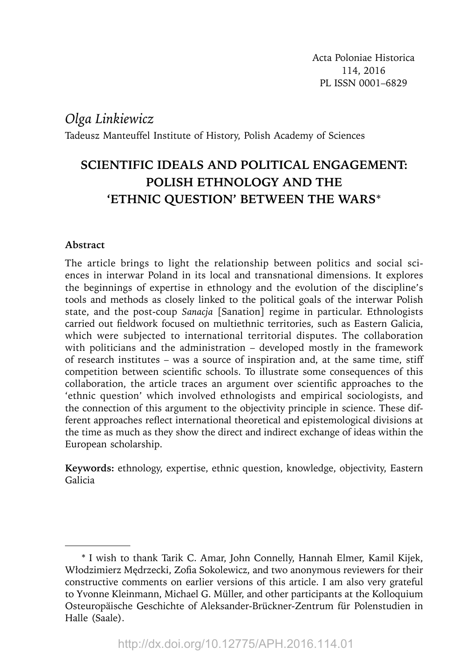# *Olga Linkiewicz*

Tadeusz Manteuffel Institute of History, Polish Academy of Sciences

# **SCIENTIFIC IDEALS AND POLITICAL ENGAGEMENT: POLISH ETHNOLOGY AND THE 'ETHNIC QUESTION' BETWEEN THE WARS**\*

### **Abstract**

The article brings to light the relationship between politics and social sciences in interwar Poland in its local and transnational dimensions. It explores the beginnings of expertise in ethnology and the evolution of the discipline's tools and methods as closely linked to the political goals of the interwar Polish state, and the post-coup *Sanacja* [Sanation] regime in particular. Ethnologists carried out fieldwork focused on multiethnic territories, such as Eastern Galicia, which were subjected to international territorial disputes. The collaboration with politicians and the administration – developed mostly in the framework of research institutes – was a source of inspiration and, at the same time, stiff competition between scientific schools. To illustrate some consequences of this collaboration, the article traces an argument over scientific approaches to the 'ethnic question' which involved ethnologists and empirical sociologists, and the connection of this argument to the objectivity principle in science. These different approaches reflect international theoretical and epistemological divisions at the time as much as they show the direct and indirect exchange of ideas within the European scholarship.

**Keywords:** ethnology, expertise, ethnic question, knowledge, objectivity, Eastern Galicia

<sup>\*</sup> I wish to thank Tarik C. Amar, John Connelly, Hannah Elmer, Kamil Kijek, Włodzimierz Medrzecki, Zofia Sokolewicz, and two anonymous reviewers for their constructive comments on earlier versions of this article. I am also very grateful to Yvonne Kleinmann, Michael G. Müller, and other participants at the Kolloquium Osteuropäische Geschichte of Aleksander-Brückner-Zentrum für Polenstudien in Halle (Saale).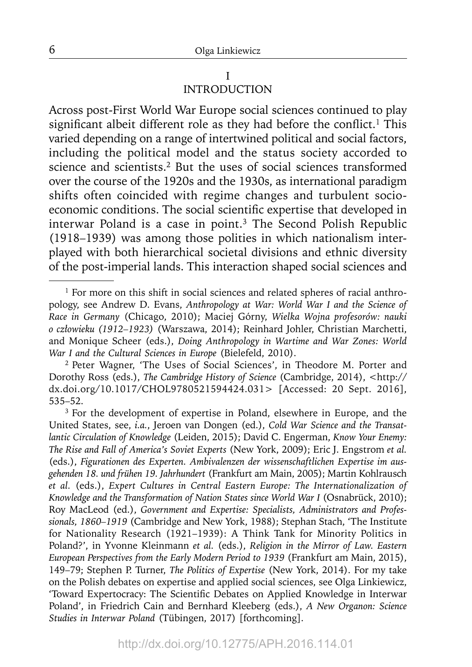### I INTRODUCTION

Across post-First World War Europe social sciences continued to play significant albeit different role as they had before the conflict.<sup>1</sup> This varied depending on a range of intertwined political and social factors, including the political model and the status society accorded to science and scientists.<sup>2</sup> But the uses of social sciences transformed over the course of the 1920s and the 1930s, as international paradigm shifts often coincided with regime changes and turbulent socioeconomic conditions. The social scientific expertise that developed in interwar Poland is a case in point.3 The Second Polish Republic (1918–1939) was among those polities in which nationalism interplayed with both hierarchical societal divisions and ethnic diversity of the post-imperial lands. This interaction shaped social sciences and

<sup>&</sup>lt;sup>1</sup> For more on this shift in social sciences and related spheres of racial anthropology, see Andrew D. Evans, *Anthropology at War: World War I and the Science of Race in Germany* (Chicago, 2010); Maciej Górny, *Wielka Wojna profesorów: nauki o człowieku (1912–1923)* (Warszawa, 2014); Reinhard Johler, Christian Marchetti, and Monique Scheer (eds.), *Doing Anthropology in Wartime and War Zones: World War I and the Cultural Sciences in Europe* (Bielefeld, 2010).<br><sup>2</sup> Peter Wagner, 'The Uses of Social Sciences', in Theodore M. Porter and

Dorothy Ross (eds.), *The Cambridge History of Science* (Cambridge, 2014), <http:// dx.doi.org/10.1017/CHOL9780521594424.031> [Accessed: 20 Sept. 2016], 535–52.

<sup>&</sup>lt;sup>3</sup> For the development of expertise in Poland, elsewhere in Europe, and the United States, see, *i.a.*, Jeroen van Dongen (ed.), *Cold War Science and the Transatlantic Circulation of Knowledge* (Leiden, 2015); David C. Engerman, *Know Your Enemy: The Rise and Fall of America's Soviet Experts* (New York, 2009); Eric J. Engstrom *et al.* (eds.), *Figurationen des Experten. Ambivalenzen der wissenschaftlichen Expertise im ausgehenden 18. und frühen 19. Jahrhundert* (Frankfurt am Main, 2005); Martin Kohlrausch *et al.* (eds.), *Expert Cultures in Central Eastern Europe: The Internationalization of Knowledge and the Transformation of Nation States since World War I* (Osnabrück, 2010); Roy MacLeod (ed.), *Government and Expertise: Specialists, Administrators and Professionals, 1860–1919* (Cambridge and New York, 1988); Stephan Stach, 'The Institute for Nationality Research (1921–1939): A Think Tank for Minority Politics in Poland?', in Yvonne Kleinmann *et al.* (eds.), *Religion in the Mirror of Law. Eastern European Perspectives from the Early Modern Period to 1939* (Frankfurt am Main, 2015), 149–79; Stephen P. Turner, *The Politics of Expertise* (New York, 2014). For my take on the Polish debates on expertise and applied social sciences, see Olga Linkiewicz, 'Toward Expertocracy: The Scientific Debates on Applied Knowledge in Interwar Poland', in Friedrich Cain and Bernhard Kleeberg (eds.), *A New Organon: Science Studies in Interwar Poland* (Tübingen, 2017) [forthcoming].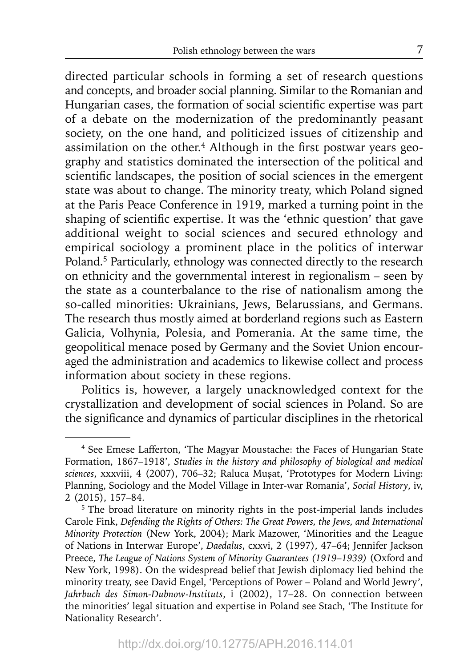directed particular schools in forming a set of research questions and concepts, and broader social planning. Similar to the Romanian and Hungarian cases, the formation of social scientific expertise was part of a debate on the modernization of the predominantly peasant society, on the one hand, and politicized issues of citizenship and assimilation on the other.<sup>4</sup> Although in the first postwar years geography and statistics dominated the intersection of the political and scientific landscapes, the position of social sciences in the emergent state was about to change. The minority treaty, which Poland signed at the Paris Peace Conference in 1919, marked a turning point in the shaping of scientific expertise. It was the 'ethnic question' that gave additional weight to social sciences and secured ethnology and empirical sociology a prominent place in the politics of interwar Poland.5 Particularly, ethnology was connected directly to the research on ethnicity and the governmental interest in regionalism – seen by the state as a counterbalance to the rise of nationalism among the so-called minorities: Ukrainians, Jews, Belarussians, and Germans. The research thus mostly aimed at borderland regions such as Eastern Galicia, Volhynia, Polesia, and Pomerania. At the same time, the geopolitical menace posed by Germany and the Soviet Union encouraged the administration and academics to likewise collect and process information about society in these regions.

Politics is, however, a largely unacknowledged context for the crystallization and development of social sciences in Poland. So are the significance and dynamics of particular disciplines in the rhetorical

<sup>4</sup> See Emese Lafferton, 'The Magyar Moustache: the Faces of Hungarian State Formation, 1867–1918', *Studies in the history and philosophy of biological and medical sciences*, xxxviii, 4 (2007), 706–32; Raluca Muşat, 'Prototypes for Modern Living: Planning, Sociology and the Model Village in Inter-war Romania', *Social History*, iv, 2 (2015), 157–84.

<sup>5</sup> The broad literature on minority rights in the post-imperial lands includes Carole Fink, *Defending the Rights of Others: The Great Powers, the Jews, and International Minority Protection* (New York, 2004); Mark Mazower, 'Minorities and the League of Nations in Interwar Europe', *Daedalus*, cxxvi, 2 (1997), 47–64; Jennifer Jackson Preece, *The League of Nations System of Minority Guarantees (1919–1939)* (Oxford and New York, 1998). On the widespread belief that Jewish diplomacy lied behind the minority treaty, see David Engel, 'Perceptions of Power – Poland and World Jewry', *Jahrbuch des Simon-Dubnow-Instituts*, i (2002), 17–28. On connection between the minorities' legal situation and expertise in Poland see Stach, 'The Institute for Nationality Research'.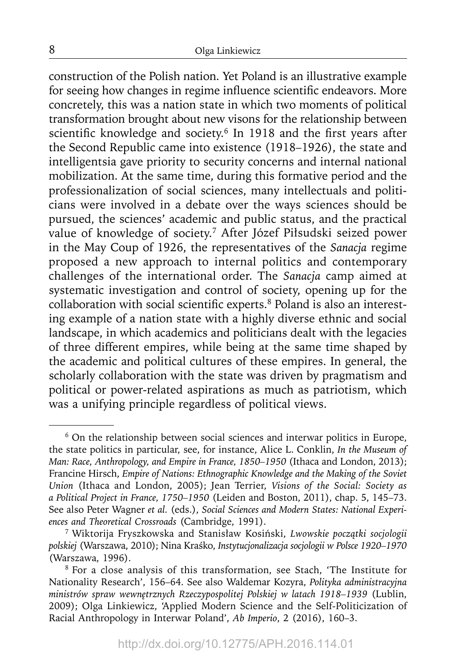construction of the Polish nation. Yet Poland is an illustrative example for seeing how changes in regime influence scientific endeavors. More concretely, this was a nation state in which two moments of political transformation brought about new visons for the relationship between scientific knowledge and society.<sup>6</sup> In 1918 and the first years after the Second Republic came into existence (1918–1926), the state and intelligentsia gave priority to security concerns and internal national mobilization. At the same time, during this formative period and the professionalization of social sciences, many intellectuals and politicians were involved in a debate over the ways sciences should be pursued, the sciences' academic and public status, and the practical value of knowledge of society.7 After Józef Piłsudski seized power in the May Coup of 1926, the representatives of the *Sanacja* regime proposed a new approach to internal politics and contemporary challenges of the international order. The *Sanacja* camp aimed at systematic investigation and control of society, opening up for the collaboration with social scientific experts.<sup>8</sup> Poland is also an interesting example of a nation state with a highly diverse ethnic and social landscape, in which academics and politicians dealt with the legacies of three different empires, while being at the same time shaped by the academic and political cultures of these empires. In general, the scholarly collaboration with the state was driven by pragmatism and political or power-related aspirations as much as patriotism, which was a unifying principle regardless of political views.

<sup>6</sup> On the relationship between social sciences and interwar politics in Europe, the state politics in particular, see, for instance, Alice L. Conklin, *In the Museum of Man: Race, Anthropology, and Empire in France, 1850–1950* (Ithaca and London, 2013); Francine Hirsch, *Empire of Nations: Ethnographic Knowledge and the Making of the Soviet Union* (Ithaca and London, 2005); Jean Terrier, *Visions of the Social: Society as a Political Project in France, 1750–1950* (Leiden and Boston, 2011), chap. 5, 145–73. See also Peter Wagner *et al.* (eds.), *Social Sciences and Modern States: National Experiences and Theoretical Crossroads* (Cambridge, 1991).

<sup>7</sup> Wiktorija Fryszkowska and Stanisław Kosiński, *Lwowskie początki socjologii polskiej* (Warszawa, 2010); Nina Kraśko, *Instytucjonalizacja socjologii w Polsce 1920–1970* (Warszawa, 1996).

<sup>8</sup> For a close analysis of this transformation, see Stach, 'The Institute for Nationality Research', 156–64. See also Waldemar Kozyra, *Polityka administracyjna ministrów spraw wewnętrznych Rzeczypospolitej Polskiej w latach 1918–1939* (Lublin, 2009); Olga Linkiewicz, 'Applied Modern Science and the Self-Politicization of Racial Anthropology in Interwar Poland', *Ab Imperio*, 2 (2016), 160–3.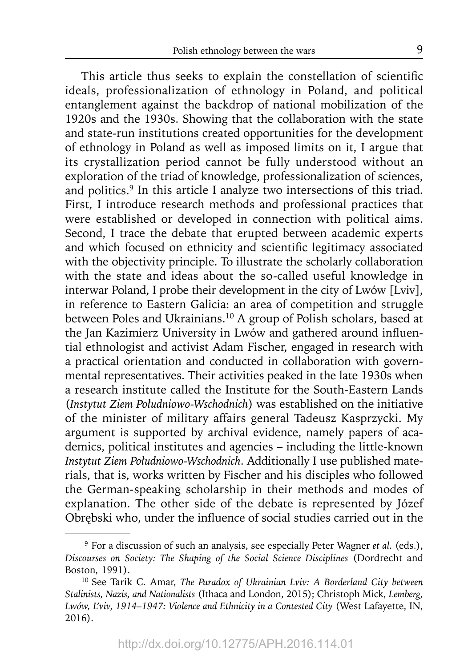This article thus seeks to explain the constellation of scientific ideals, professionalization of ethnology in Poland, and political entanglement against the backdrop of national mobilization of the 1920s and the 1930s. Showing that the collaboration with the state and state-run institutions created opportunities for the development of ethnology in Poland as well as imposed limits on it, I argue that its crystallization period cannot be fully understood without an exploration of the triad of knowledge, professionalization of sciences, and politics.<sup>9</sup> In this article I analyze two intersections of this triad. First, I introduce research methods and professional practices that were established or developed in connection with political aims. Second, I trace the debate that erupted between academic experts and which focused on ethnicity and scientific legitimacy associated with the objectivity principle. To illustrate the scholarly collaboration with the state and ideas about the so-called useful knowledge in interwar Poland, I probe their development in the city of Lwów [Lviv], in reference to Eastern Galicia: an area of competition and struggle between Poles and Ukrainians.10 A group of Polish scholars, based at the Jan Kazimierz University in Lwów and gathered around influential ethnologist and activist Adam Fischer, engaged in research with a practical orientation and conducted in collaboration with governmental representatives. Their activities peaked in the late 1930s when a research institute called the Institute for the South-Eastern Lands (*Instytut Ziem Południowo-Wschodnich*) was established on the initiative of the minister of military affairs general Tadeusz Kasprzycki. My argument is supported by archival evidence, namely papers of academics, political institutes and agencies – including the little-known *Instytut Ziem Południowo-Wschodnich*. Additionally I use published materials, that is, works written by Fischer and his disciples who followed the German-speaking scholarship in their methods and modes of explanation. The other side of the debate is represented by Józef Obrębski who, under the influence of social studies carried out in the

<sup>9</sup> For a discussion of such an analysis, see especially Peter Wagner *et al.* (eds.), *Discourses on Society: The Shaping of the Social Science Disciplines* (Dordrecht and Boston, 1991).<br><sup>10</sup> See Tarik C. Amar, *The Paradox of Ukrainian Lviv: A Borderland City between* 

*Stalinists, Nazis, and Nationalists* (Ithaca and London, 2015); Christoph Mick, *Lemberg, Lwów, L'viv, 1914–1947: Violence and Ethnicity in a Contested City* (West Lafayette, IN, 2016).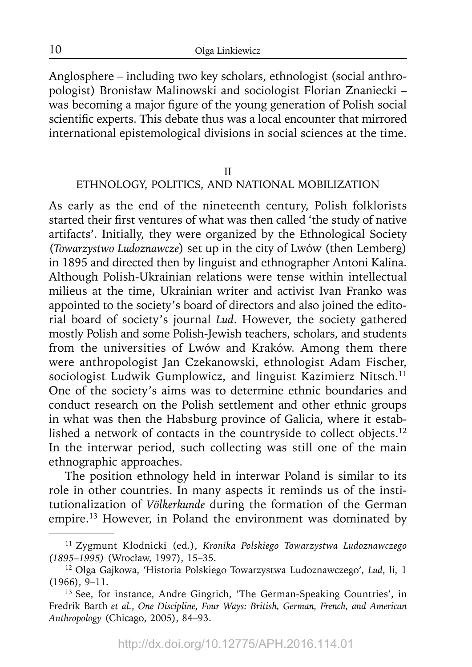Anglosphere – including two key scholars, ethnologist (social anthropologist) Bronisław Malinowski and sociologist Florian Znaniecki – was becoming a major figure of the young generation of Polish social scientific experts. This debate thus was a local encounter that mirrored international epistemological divisions in social sciences at the time.

#### II

# ETHNOLOGY, POLITICS, AND NATIONAL MOBILIZATION

As early as the end of the nineteenth century, Polish folklorists started their first ventures of what was then called 'the study of native artifacts'. Initially, they were organized by the Ethnological Society (*Towarzystwo Ludoznawcze*) set up in the city of Lwów (then Lemberg) in 1895 and directed then by linguist and ethnographer Antoni Kalina. Although Polish-Ukrainian relations were tense within intellectual milieus at the time, Ukrainian writer and activist Ivan Franko was appointed to the society's board of directors and also joined the editorial board of society's journal *Lud*. However, the society gathered mostly Polish and some Polish-Jewish teachers, scholars, and students from the universities of Lwów and Kraków. Among them there were anthropologist Jan Czekanowski, ethnologist Adam Fischer, sociologist Ludwik Gumplowicz, and linguist Kazimierz Nitsch.<sup>11</sup> One of the society's aims was to determine ethnic boundaries and conduct research on the Polish settlement and other ethnic groups in what was then the Habsburg province of Galicia, where it established a network of contacts in the countryside to collect objects.<sup>12</sup> In the interwar period, such collecting was still one of the main ethnographic approaches.

The position ethnology held in interwar Poland is similar to its role in other countries. In many aspects it reminds us of the institutionalization of *Völkerkunde* during the formation of the German empire.<sup>13</sup> However, in Poland the environment was dominated by

<sup>11</sup> Zygmunt Kłodnicki (ed.), *Kronika Polskiego Towarzystwa Ludoznawczego (1895–1995)* (Wrocław, 1997), 15–35.

<sup>12</sup> Olga Gajkowa, 'Historia Polskiego Towarzystwa Ludoznawczego', *Lud*, li, 1 (1966), 9–11.

<sup>&</sup>lt;sup>13</sup> See, for instance, Andre Gingrich, 'The German-Speaking Countries', in Fredrik Barth *et al.*, *One Discipline, Four Ways: British, German, French, and American Anthropology* (Chicago, 2005), 84–93.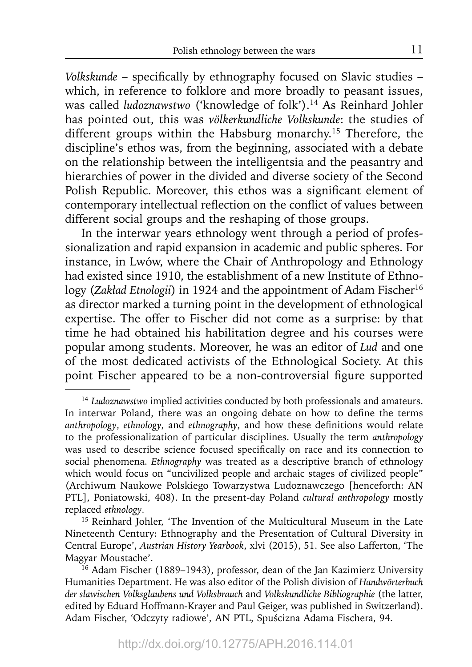*Volkskunde* - specifically by ethnography focused on Slavic studies which, in reference to folklore and more broadly to peasant issues, was called *ludoznawstwo* ('knowledge of folk').<sup>14</sup> As Reinhard Johler has pointed out, this was *völkerkundliche Volkskunde*: the studies of different groups within the Habsburg monarchy.<sup>15</sup> Therefore, the discipline's ethos was, from the beginning, associated with a debate on the relationship between the intelligentsia and the peasantry and hierarchies of power in the divided and diverse society of the Second Polish Republic. Moreover, this ethos was a significant element of contemporary intellectual reflection on the conflict of values between different social groups and the reshaping of those groups.

In the interwar years ethnology went through a period of professionalization and rapid expansion in academic and public spheres. For instance, in Lwów, where the Chair of Anthropology and Ethnology had existed since 1910, the establishment of a new Institute of Ethnology (*Zakład Etnologii*) in 1924 and the appointment of Adam Fischer<sup>16</sup> as director marked a turning point in the development of ethnological expertise. The offer to Fischer did not come as a surprise: by that time he had obtained his habilitation degree and his courses were popular among students. Moreover, he was an editor of *Lud* and one of the most dedicated activists of the Ethnological Society. At this point Fischer appeared to be a non-controversial figure supported

<sup>&</sup>lt;sup>14</sup> Ludoznawstwo implied activities conducted by both professionals and amateurs. In interwar Poland, there was an ongoing debate on how to define the terms *anthropology*, *ethnology*, and *ethnography*, and how these definitions would relate to the professionalization of particular disciplines. Usually the term *anthropology* was used to describe science focused specifically on race and its connection to social phenomena. *Ethnography* was treated as a descriptive branch of ethnology which would focus on "uncivilized people and archaic stages of civilized people" (Archiwum Naukowe Polskiego Towarzystwa Ludoznawczego [henceforth: AN PTL], Poniatowski, 408). In the present-day Poland *cultural anthropology* mostly replaced *ethnology*. 15 Reinhard Johler, 'The Invention of the Multicultural Museum in the Late

Nineteenth Century: Ethnography and the Presentation of Cultural Diversity in Central Europe', *Austrian History Yearbook*, xlvi (2015), 51. See also Lafferton, 'The Magyar Moustache'.

<sup>&</sup>lt;sup>16</sup> Adam Fischer (1889–1943), professor, dean of the Jan Kazimierz University Humanities Department. He was also editor of the Polish division of *Handwörterbuch der slawischen Volksglaubens und Volksbrauch* and *Volkskundliche Bibliographie* (the latter, edited by Eduard Hoffmann-Krayer and Paul Geiger, was published in Switzerland). Adam Fischer, 'Odczyty radiowe', AN PTL, Spuścizna Adama Fischera, 94.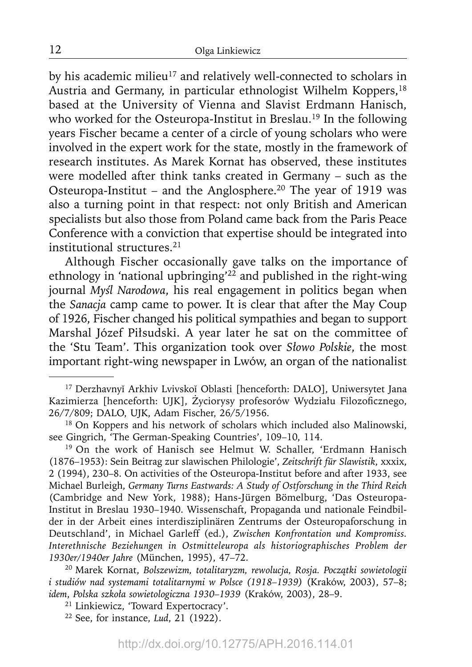by his academic milieu<sup>17</sup> and relatively well-connected to scholars in Austria and Germany, in particular ethnologist Wilhelm Koppers,<sup>18</sup> based at the University of Vienna and Slavist Erdmann Hanisch, who worked for the Osteuropa-Institut in Breslau.<sup>19</sup> In the following years Fischer became a center of a circle of young scholars who were involved in the expert work for the state, mostly in the framework of research institutes. As Marek Kornat has observed, these institutes were modelled after think tanks created in Germany – such as the Osteuropa-Institut – and the Anglosphere.<sup>20</sup> The year of 1919 was also a turning point in that respect: not only British and American specialists but also those from Poland came back from the Paris Peace Conference with a conviction that expertise should be integrated into institutional structures.21

Although Fischer occasionally gave talks on the importance of ethnology in 'national upbringing<sup> $22$ </sup> and published in the right-wing journal *Myśl Narodowa*, his real engagement in politics began when the *Sanacja* camp came to power. It is clear that after the May Coup of 1926, Fischer changed his political sympathies and began to support Marshal Józef Piłsudski. A year later he sat on the committee of the 'Stu Team'. This organization took over *Słowo Polskie*, the most important right-wing newspaper in Lwów, an organ of the nationalist

20 Marek Kornat, *Bolszewizm, totalitaryzm, rewolucja, Rosja. Początki sowietologii i studiów nad systemami totalitarnymi w Polsce (1918–1939)* (Kraków, 2003), 57–8; *idem*, *Polska szkoła sowietologiczna 1930–1939* (Kraków, 2003), 28–9.

21 Linkiewicz, 'Toward Expertocracy'.

22 See, for instance, *Lud*, 21 (1922).

<sup>&</sup>lt;sup>17</sup> Derzhavnyĭ Arkhiv Lvivskoĭ Oblasti [henceforth: DALO], Uniwersytet Jana Kazimierza [henceforth: UJK], Życiorysy profesorów Wydziału Filozoficznego, 26/7/809; DALO, UJK, Adam Fischer, 26/5/1956.

<sup>&</sup>lt;sup>18</sup> On Koppers and his network of scholars which included also Malinowski, see Gingrich, 'The German-Speaking Countries', 109–10, 114.

<sup>&</sup>lt;sup>19</sup> On the work of Hanisch see Helmut W. Schaller, 'Erdmann Hanisch (1876–1953): Sein Beitrag zur slawischen Philologie', *Zeitschrift für Slawistik*, xxxix, 2 (1994), 230–8. On activities of the Osteuropa-Institut before and after 1933, see Michael Burleigh, *Germany Turns Eastwards: A Study of Ostforschung in the Third Reich* (Cambridge and New York, 1988); Hans-Jürgen Bömelburg, 'Das Osteuropa-Institut in Breslau 1930–1940. Wissenschaft, Propaganda und nationale Feindbilder in der Arbeit eines interdisziplinären Zentrums der Osteuropaforschung in Deutschland', in Michael Garleff (ed.), *Zwischen Konfrontation und Kompromiss. Interethnische Beziehungen in Ostmitteleuropa als historiographisches Problem der 1930er/1940er Jahre* (München, 1995), 47–72.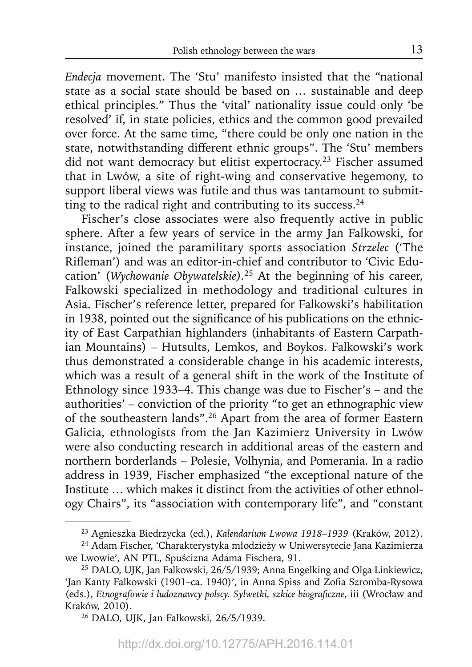*Endecja* movement. The 'Stu' manifesto insisted that the "national state as a social state should be based on … sustainable and deep ethical principles." Thus the 'vital' nationality issue could only 'be resolved' if, in state policies, ethics and the common good prevailed over force. At the same time, "there could be only one nation in the state, notwithstanding different ethnic groups". The 'Stu' members did not want democracy but elitist expertocracy.<sup>23</sup> Fischer assumed that in Lwów, a site of right-wing and conservative hegemony, to support liberal views was futile and thus was tantamount to submitting to the radical right and contributing to its success. $24$ 

Fischer's close associates were also frequently active in public sphere. After a few years of service in the army Jan Falkowski, for instance, joined the paramilitary sports association *Strzelec* ('The Rifleman') and was an editor-in-chief and contributor to 'Civic Education' (*Wychowanie Obywatelskie).*25 At the beginning of his career, Falkowski specialized in methodology and traditional cultures in Asia. Fischer's reference letter, prepared for Falkowski's habilitation in 1938, pointed out the significance of his publications on the ethnicity of East Carpathian highlanders (inhabitants of Eastern Carpathian Mountains) – Hutsults, Lemkos, and Boykos. Falkowski's work thus demonstrated a considerable change in his academic interests, which was a result of a general shift in the work of the Institute of Ethnology since 1933–4. This change was due to Fischer's – and the authorities' – conviction of the priority "to get an ethnographic view of the southeastern lands".26 Apart from the area of former Eastern Galicia, ethnologists from the Jan Kazimierz University in Lwów were also conducting research in additional areas of the eastern and northern borderlands – Polesie, Volhynia, and Pomerania. In a radio address in 1939, Fischer emphasized "the exceptional nature of the Institute … which makes it distinct from the activities of other ethnology Chairs", its "association with contemporary life", and "constant

<sup>23</sup> Agnieszka Biedrzycka (ed.), *Kalendarium Lwowa 1918–1939* (Kraków, 2012).

<sup>24</sup> Adam Fischer, 'Charakterystyka młodzieży w Uniwersytecie Jana Kazimierza we Lwowie', AN PTL, Spuścizna Adama Fischera, 91.

<sup>25</sup> DALO, UJK, Jan Falkowski, 26/5/1939; Anna Engelking and Olga Linkiewicz, 'Jan Kanty Falkowski (1901–ca. 1940)', in Anna Spiss and Zofia Szromba-Rysowa (eds.), *Etnografowie i ludoznawcy polscy. Sylwetki, szkice biograficzne*, iii (Wrocław and Kraków, 2010).

<sup>26</sup> DALO, UJK, Jan Falkowski, 26/5/1939.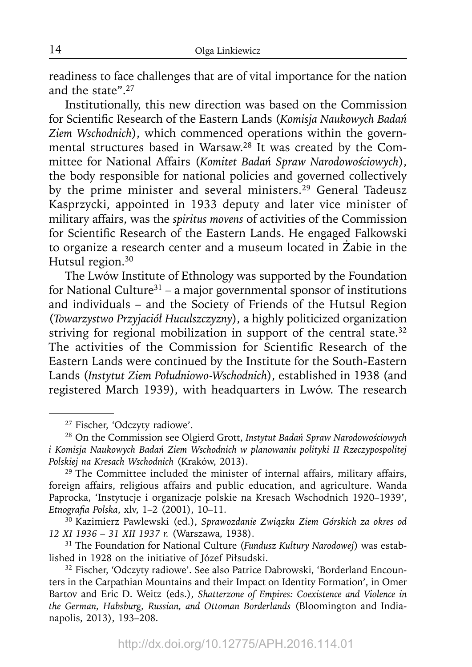readiness to face challenges that are of vital importance for the nation and the state".27

Institutionally, this new direction was based on the Commission for Scientific Research of the Eastern Lands (Komisja Naukowych Badań *Ziem Wschodnich*), which commenced operations within the governmental structures based in Warsaw.28 It was created by the Committee for National Affairs (*Komitet Badań Spraw Narodowościowych*), the body responsible for national policies and governed collectively by the prime minister and several ministers.<sup>29</sup> General Tadeusz Kasprzycki, appointed in 1933 deputy and later vice minister of military affairs, was the *spiritus movens* of activities of the Commission for Scientific Research of the Eastern Lands. He engaged Falkowski to organize a research center and a museum located in Żabie in the Hutsul region.<sup>30</sup>

The Lwów Institute of Ethnology was supported by the Foundation for National Culture<sup>31</sup> – a major governmental sponsor of institutions and individuals – and the Society of Friends of the Hutsul Region (*Towarzystwo Przyjaciół Huculszczyzny*), a highly politicized organization striving for regional mobilization in support of the central state.<sup>32</sup> The activities of the Commission for Scientific Research of the Eastern Lands were continued by the Institute for the South-Eastern Lands (*Instytut Ziem Południowo-Wschodnich*), established in 1938 (and registered March 1939), with headquarters in Lwów. The research

<sup>27</sup> Fischer, 'Odczyty radiowe'.

<sup>28</sup> On the Commission see Olgierd Grott, *Instytut Badań Spraw Narodowościowych i Komisja Naukowych Badań Ziem Wschodnich w planowaniu polityki II Rzeczypospolitej Polskiej na Kresach Wschodnich* (Kraków, 2013).

<sup>&</sup>lt;sup>29</sup> The Committee included the minister of internal affairs, military affairs, foreign affairs, religious affairs and public education, and agriculture. Wanda Paprocka, 'Instytucje i organizacje polskie na Kresach Wschodnich 1920–1939', *Etnografi a Polska*, xlv, 1–2 (2001), 10–11.

<sup>30</sup> Kazimierz Pawlewski (ed.), *Sprawozdanie Związku Ziem Górskich za okres od 12 XI 1936 – 31 XII 1937 r.* (Warszawa, 1938).

<sup>31</sup> The Foundation for National Culture (*Fundusz Kultury Narodowej*) was established in 1928 on the initiative of Józef Piłsudski.<br><sup>32</sup> Fischer, 'Odczyty radiowe'. See also Patrice Dabrowski, 'Borderland Encoun-

ters in the Carpathian Mountains and their Impact on Identity Formation', in Omer Bartov and Eric D. Weitz (eds.), *Shatterzone of Empires: Coexistence and Violence in the German, Habsburg, Russian, and Ottoman Borderlands* (Bloomington and Indianapolis, 2013), 193–208.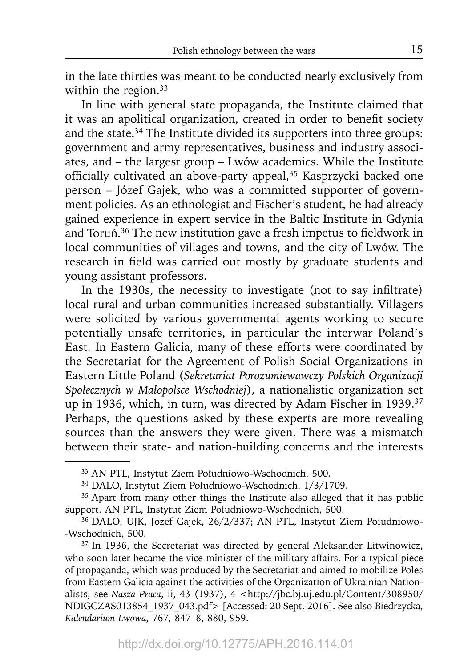in the late thirties was meant to be conducted nearly exclusively from within the region.<sup>33</sup>

In line with general state propaganda, the Institute claimed that it was an apolitical organization, created in order to benefit society and the state.<sup>34</sup> The Institute divided its supporters into three groups: government and army representatives, business and industry associates, and – the largest group – Lwów academics. While the Institute officially cultivated an above-party appeal,<sup>35</sup> Kasprzycki backed one person – Józef Gajek, who was a committed supporter of government policies. As an ethnologist and Fischer's student, he had already gained experience in expert service in the Baltic Institute in Gdynia and Toruń.<sup>36</sup> The new institution gave a fresh impetus to fieldwork in local communities of villages and towns, and the city of Lwów. The research in field was carried out mostly by graduate students and young assistant professors.

In the 1930s, the necessity to investigate (not to say infiltrate) local rural and urban communities increased substantially. Villagers were solicited by various governmental agents working to secure potentially unsafe territories, in particular the interwar Poland's East. In Eastern Galicia, many of these efforts were coordinated by the Secretariat for the Agreement of Polish Social Organizations in Eastern Little Poland (*Sekretariat Porozumiewawczy Polskich Organizacji Społecznych w Małopolsce Wschodniej*), a nationalistic organization set up in 1936, which, in turn, was directed by Adam Fischer in 1939.<sup>37</sup> Perhaps, the questions asked by these experts are more revealing sources than the answers they were given. There was a mismatch between their state- and nation-building concerns and the interests

<sup>33</sup> AN PTL, Instytut Ziem Południowo-Wschodnich, 500.

<sup>34</sup> DALO, Instytut Ziem Południowo-Wschodnich, 1/3/1709.

<sup>&</sup>lt;sup>35</sup> Apart from many other things the Institute also alleged that it has public support. AN PTL, Instytut Ziem Południowo-Wschodnich, 500.

<sup>36</sup> DALO, UJK, Józef Gajek, 26/2/337; AN PTL, Instytut Ziem Południowo- -Wschodnich, 500. 37 In 1936, the Secretariat was directed by general Aleksander Litwinowicz,

who soon later became the vice minister of the military affairs. For a typical piece of propaganda, which was produced by the Secretariat and aimed to mobilize Poles from Eastern Galicia against the activities of the Organization of Ukrainian Nationalists, see *Nasza Praca*, ii, 43 (1937), 4 <http://jbc.bj.uj.edu.pl/Content/308950/ NDIGCZAS013854\_1937\_043.pdf> [Accessed: 20 Sept. 2016]. See also Biedrzycka, *Kalendarium Lwowa*, 767, 847–8, 880, 959.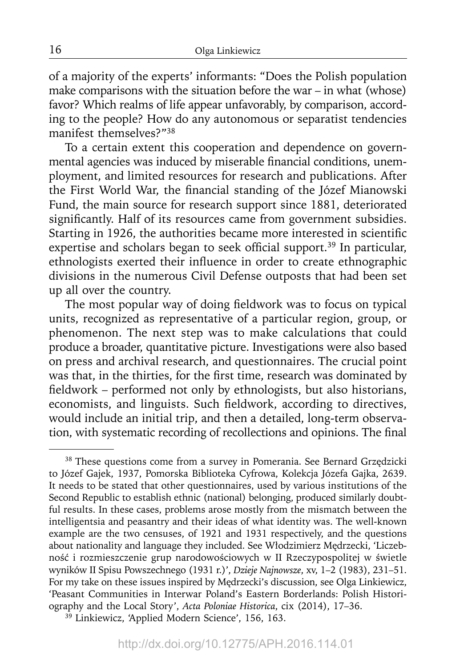of a majority of the experts' informants: "Does the Polish population make comparisons with the situation before the war – in what (whose) favor? Which realms of life appear unfavorably, by comparison, according to the people? How do any autonomous or separatist tendencies manifest themselves?"38

To a certain extent this cooperation and dependence on governmental agencies was induced by miserable financial conditions, unemployment, and limited resources for research and publications. After the First World War, the financial standing of the Józef Mianowski Fund, the main source for research support since 1881, deteriorated significantly. Half of its resources came from government subsidies. Starting in 1926, the authorities became more interested in scientific expertise and scholars began to seek official support.<sup>39</sup> In particular, ethnologists exerted their influence in order to create ethnographic divisions in the numerous Civil Defense outposts that had been set up all over the country.

The most popular way of doing fieldwork was to focus on typical units, recognized as representative of a particular region, group, or phenomenon. The next step was to make calculations that could produce a broader, quantitative picture. Investigations were also based on press and archival research, and questionnaires. The crucial point was that, in the thirties, for the first time, research was dominated by fieldwork – performed not only by ethnologists, but also historians, economists, and linguists. Such fieldwork, according to directives, would include an initial trip, and then a detailed, long-term observation, with systematic recording of recollections and opinions. The final

<sup>&</sup>lt;sup>38</sup> These questions come from a survey in Pomerania. See Bernard Grzędzicki to Józef Gajek, 1937, Pomorska Biblioteka Cyfrowa, Kolekcja Józefa Gajka, 2639. It needs to be stated that other questionnaires, used by various institutions of the Second Republic to establish ethnic (national) belonging, produced similarly doubtful results. In these cases, problems arose mostly from the mismatch between the intelligentsia and peasantry and their ideas of what identity was. The well-known example are the two censuses, of 1921 and 1931 respectively, and the questions about nationality and language they included. See Włodzimierz Mędrzecki, 'Liczebność i rozmieszczenie grup narodowościowych w II Rzeczypospolitej w świetle wyników II Spisu Powszechnego (1931 r.)', *Dzieje Najnowsze*, xv, 1–2 (1983), 231–51. For my take on these issues inspired by Mędrzecki's discussion, see Olga Linkiewicz, 'Peasant Communities in Interwar Poland's Eastern Borderlands: Polish Historiography and the Local Story', *Acta Poloniae Historica*, cix (2014), 17–36. 39 Linkiewicz, 'Applied Modern Science', 156, 163.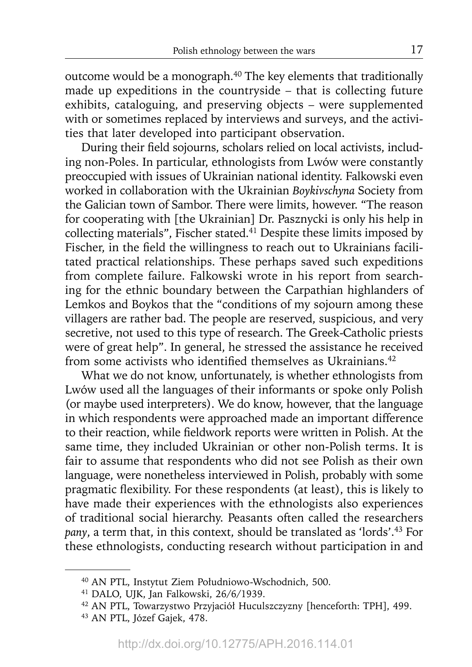outcome would be a monograph.<sup>40</sup> The key elements that traditionally made up expeditions in the countryside – that is collecting future exhibits, cataloguing, and preserving objects – were supplemented with or sometimes replaced by interviews and surveys, and the activities that later developed into participant observation.

During their field sojourns, scholars relied on local activists, including non-Poles. In particular, ethnologists from Lwów were constantly preoccupied with issues of Ukrainian national identity. Falkowski even worked in collaboration with the Ukrainian *Boykivschyna* Society from the Galician town of Sambor. There were limits, however. "The reason for cooperating with [the Ukrainian] Dr. Pasznycki is only his help in collecting materials", Fischer stated.<sup>41</sup> Despite these limits imposed by Fischer, in the field the willingness to reach out to Ukrainians facilitated practical relationships. These perhaps saved such expeditions from complete failure. Falkowski wrote in his report from searching for the ethnic boundary between the Carpathian highlanders of Lemkos and Boykos that the "conditions of my sojourn among these villagers are rather bad. The people are reserved, suspicious, and very secretive, not used to this type of research. The Greek-Catholic priests were of great help". In general, he stressed the assistance he received from some activists who identified themselves as Ukrainians.<sup>42</sup>

What we do not know, unfortunately, is whether ethnologists from Lwów used all the languages of their informants or spoke only Polish (or maybe used interpreters). We do know, however, that the language in which respondents were approached made an important difference to their reaction, while fieldwork reports were written in Polish. At the same time, they included Ukrainian or other non-Polish terms. It is fair to assume that respondents who did not see Polish as their own language, were nonetheless interviewed in Polish, probably with some pragmatic flexibility. For these respondents (at least), this is likely to have made their experiences with the ethnologists also experiences of traditional social hierarchy. Peasants often called the researchers *pany*, a term that, in this context, should be translated as 'lords'.43 For these ethnologists, conducting research without participation in and

<sup>40</sup> AN PTL, Instytut Ziem Południowo-Wschodnich, 500.

<sup>41</sup> DALO, UJK, Jan Falkowski, 26/6/1939.

<sup>42</sup> AN PTL, Towarzystwo Przyjaciół Huculszczyzny [henceforth: TPH], 499.

<sup>43</sup> AN PTL, Józef Gajek, 478.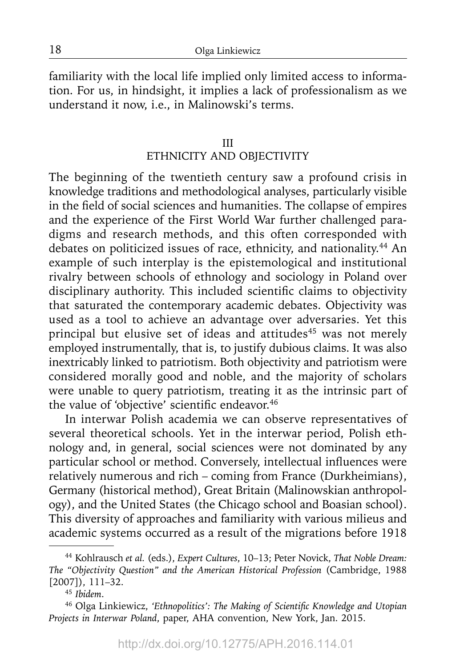familiarity with the local life implied only limited access to information. For us, in hindsight, it implies a lack of professionalism as we understand it now, i.e., in Malinowski's terms.

#### III

# ETHNICITY AND OBJECTIVITY

The beginning of the twentieth century saw a profound crisis in knowledge traditions and methodological analyses, particularly visible in the field of social sciences and humanities. The collapse of empires and the experience of the First World War further challenged paradigms and research methods, and this often corresponded with debates on politicized issues of race, ethnicity, and nationality.<sup>44</sup> An example of such interplay is the epistemological and institutional rivalry between schools of ethnology and sociology in Poland over disciplinary authority. This included scientific claims to objectivity that saturated the contemporary academic debates. Objectivity was used as a tool to achieve an advantage over adversaries. Yet this principal but elusive set of ideas and attitudes<sup>45</sup> was not merely employed instrumentally, that is, to justify dubious claims. It was also inextricably linked to patriotism. Both objectivity and patriotism were considered morally good and noble, and the majority of scholars were unable to query patriotism, treating it as the intrinsic part of the value of 'objective' scientific endeavor.<sup>46</sup>

In interwar Polish academia we can observe representatives of several theoretical schools. Yet in the interwar period, Polish ethnology and, in general, social sciences were not dominated by any particular school or method. Conversely, intellectual influences were relatively numerous and rich – coming from France (Durkheimians), Germany (historical method), Great Britain (Malinowskian anthropology), and the United States (the Chicago school and Boasian school). This diversity of approaches and familiarity with various milieus and academic systems occurred as a result of the migrations before 1918

<sup>44</sup> Kohlrausch *et al.* (eds.), *Expert Cultures*, 10–13; Peter Novick, *That Noble Dream: The "Objectivity Question" and the American Historical Profession* (Cambridge, 1988 [2007]), 111–32.

<sup>45</sup>*Ibidem*.

<sup>&</sup>lt;sup>46</sup> Olga Linkiewicz, 'Ethnopolitics': The Making of Scientific Knowledge and Utopian *Projects in Interwar Poland*, paper, AHA convention, New York, Jan. 2015.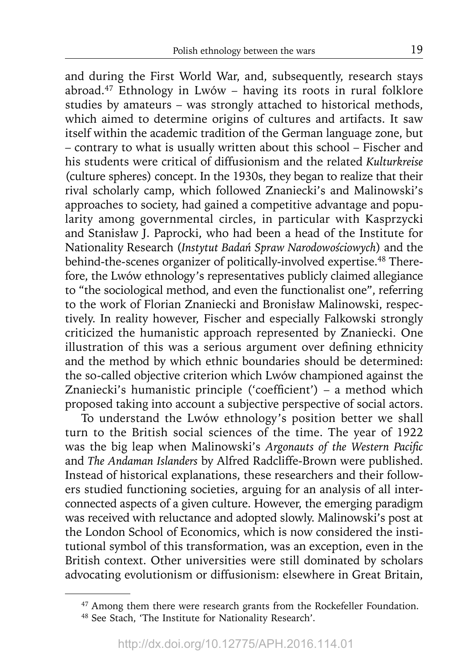and during the First World War, and, subsequently, research stays abroad.47 Ethnology in Lwów – having its roots in rural folklore studies by amateurs – was strongly attached to historical methods, which aimed to determine origins of cultures and artifacts. It saw itself within the academic tradition of the German language zone, but – contrary to what is usually written about this school – Fischer and his students were critical of diffusionism and the related *Kulturkreise*  (culture spheres) concept. In the 1930s, they began to realize that their rival scholarly camp, which followed Znaniecki's and Malinowski's approaches to society, had gained a competitive advantage and popularity among governmental circles, in particular with Kasprzycki and Stanisław J. Paprocki, who had been a head of the Institute for Nationality Research (*Instytut Badań Spraw Narodowościowych*) and the behind-the-scenes organizer of politically-involved expertise.<sup>48</sup> Therefore, the Lwów ethnology's representatives publicly claimed allegiance to "the sociological method, and even the functionalist one", referring to the work of Florian Znaniecki and Bronisław Malinowski, respectively. In reality however, Fischer and especially Falkowski strongly criticized the humanistic approach represented by Znaniecki. One illustration of this was a serious argument over defining ethnicity and the method by which ethnic boundaries should be determined: the so-called objective criterion which Lwów championed against the Znaniecki's humanistic principle ('coefficient') – a method which proposed taking into account a subjective perspective of social actors.

To understand the Lwów ethnology's position better we shall turn to the British social sciences of the time. The year of 1922 was the big leap when Malinowski's *Argonauts of the Western Pacific* and *The Andaman Islanders* by Alfred Radcliffe-Brown were published. Instead of historical explanations, these researchers and their followers studied functioning societies, arguing for an analysis of all interconnected aspects of a given culture. However, the emerging paradigm was received with reluctance and adopted slowly. Malinowski's post at the London School of Economics, which is now considered the institutional symbol of this transformation, was an exception, even in the British context. Other universities were still dominated by scholars advocating evolutionism or diffusionism: elsewhere in Great Britain,

<sup>&</sup>lt;sup>47</sup> Among them there were research grants from the Rockefeller Foundation.<br><sup>48</sup> See Stach, 'The Institute for Nationality Research'.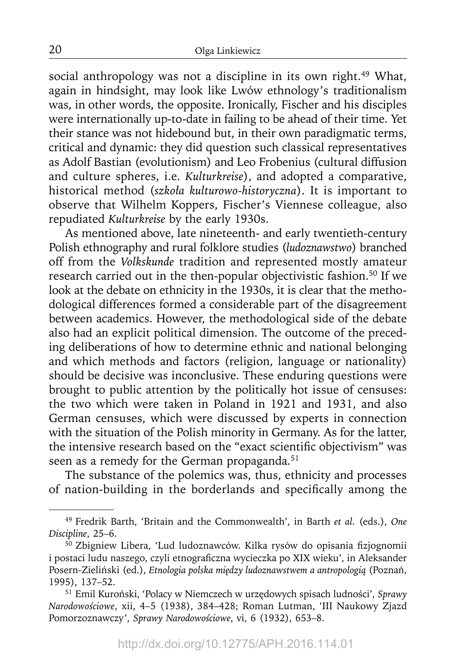social anthropology was not a discipline in its own right.<sup>49</sup> What, again in hindsight, may look like Lwów ethnology's traditionalism was, in other words, the opposite. Ironically, Fischer and his disciples were internationally up-to-date in failing to be ahead of their time. Yet their stance was not hidebound but, in their own paradigmatic terms, critical and dynamic: they did question such classical representatives as Adolf Bastian (evolutionism) and Leo Frobenius (cultural diffusion and culture spheres, i.e. *Kulturkreise*), and adopted a comparative, historical method (*szkoła kulturowo-historyczna*). It is important to observe that Wilhelm Koppers, Fischer's Viennese colleague, also repudiated *Kulturkreise* by the early 1930s.

As mentioned above, late nineteenth- and early twentieth-century Polish ethnography and rural folklore studies (*ludoznawstwo*) branched off from the *Volkskunde* tradition and represented mostly amateur research carried out in the then-popular objectivistic fashion.<sup>50</sup> If we look at the debate on ethnicity in the 1930s, it is clear that the methodological differences formed a considerable part of the disagreement between academics. However, the methodological side of the debate also had an explicit political dimension. The outcome of the preceding deliberations of how to determine ethnic and national belonging and which methods and factors (religion, language or nationality) should be decisive was inconclusive. These enduring questions were brought to public attention by the politically hot issue of censuses: the two which were taken in Poland in 1921 and 1931, and also German censuses, which were discussed by experts in connection with the situation of the Polish minority in Germany. As for the latter, the intensive research based on the "exact scientific objectivism" was seen as a remedy for the German propaganda.<sup>51</sup>

The substance of the polemics was, thus, ethnicity and processes of nation-building in the borderlands and specifically among the

<sup>49</sup> Fredrik Barth, 'Britain and the Commonwealth', in Barth *et al.* (eds.), *One Discipline*, 25–6.

<sup>&</sup>lt;sup>50</sup> Zbigniew Libera, 'Lud ludoznawców. Kilka rysów do opisania fizjognomii i postaci ludu naszego, czyli etnograficzna wycieczka po XIX wieku', in Aleksander Posern-Zieliński (ed.), *Etnologia polska między ludoznawstwem a antropologią* (Poznań, 1995), 137–52.

<sup>51</sup> Emil Kuroński, 'Polacy w Niemczech w urzędowych spisach ludności', *Sprawy Narodowościowe*, xii, 4–5 (1938), 384–428; Roman Lutman, 'III Naukowy Zjazd Pomorzoznawczy', *Sprawy Narodowościowe*, vi, 6 (1932), 653–8.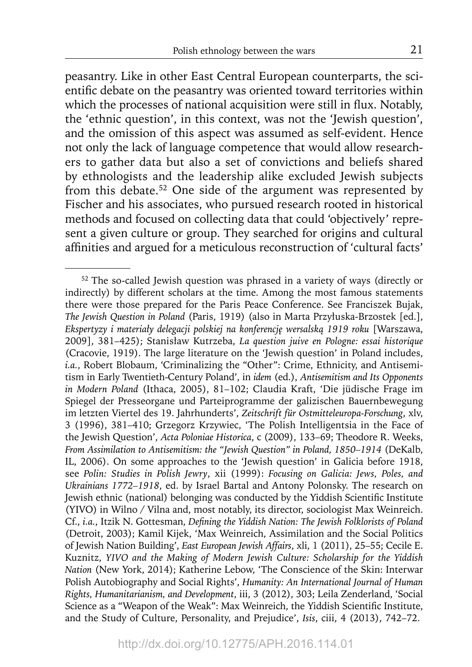peasantry. Like in other East Central European counterparts, the scientific debate on the peasantry was oriented toward territories within which the processes of national acquisition were still in flux. Notably, the 'ethnic question', in this context, was not the 'Jewish question', and the omission of this aspect was assumed as self-evident. Hence not only the lack of language competence that would allow researchers to gather data but also a set of convictions and beliefs shared by ethnologists and the leadership alike excluded Jewish subjects from this debate.<sup>52</sup> One side of the argument was represented by Fischer and his associates, who pursued research rooted in historical methods and focused on collecting data that could 'objectively' represent a given culture or group. They searched for origins and cultural affinities and argued for a meticulous reconstruction of 'cultural facts'

<sup>52</sup> The so-called Jewish question was phrased in a variety of ways (directly or indirectly) by different scholars at the time. Among the most famous statements there were those prepared for the Paris Peace Conference. See Franciszek Bujak, *The Jewish Question in Poland* (Paris, 1919) (also in Marta Przyłuska-Brzostek [ed.], *Ekspertyzy i materiały delegacji polskiej na konferencję wersalską 1919 roku* [Warszawa, 2009], 381–425); Stanisław Kutrzeba, *La question juive en Pologne: essai historique*  (Cracovie, 1919). The large literature on the 'Jewish question' in Poland includes, *i.a.*, Robert Blobaum, 'Criminalizing the "Other": Crime, Ethnicity, and Antisemitism in Early Twentieth-Century Poland', in *idem* (ed.), *Antisemitism and Its Opponents in Modern Poland* (Ithaca, 2005), 81–102; Claudia Kraft, 'Die jüdische Frage im Spiegel der Presseorgane und Parteiprogramme der galizischen Bauernbewegung im letzten Viertel des 19. Jahrhunderts', *Zeitschrift für Ostmitteleuropa-Forschung*, xlv, 3 (1996), 381–410; Grzegorz Krzywiec, 'The Polish Intelligentsia in the Face of the Jewish Question', *Acta Poloniae Historica*, c (2009), 133–69; Theodore R. Weeks, *From Assimilation to Antisemitism: the "Jewish Question" in Poland, 1850–1914* (DeKalb, IL, 2006). On some approaches to the 'Jewish question' in Galicia before 1918, see *Polin: Studies in Polish Jewry*, xii (1999): *Focusing on Galicia: Jews, Poles, and Ukrainians 1772–1918*, ed. by Israel Bartal and Antony Polonsky. The research on Jewish ethnic (national) belonging was conducted by the Yiddish Scientific Institute (YIVO) in Wilno / Vilna and, most notably, its director, sociologist Max Weinreich. Cf., *i.a.*, Itzik N. Gottesman, *Defining the Yiddish Nation: The Jewish Folklorists of Poland* (Detroit, 2003); Kamil Kijek, 'Max Weinreich, Assimilation and the Social Politics of Jewish Nation Building', *East European Jewish Affairs*, xli, 1 (2011), 25–55; Cecile E. Kuznitz, *YIVO and the Making of Modern Jewish Culture: Scholarship for the Yiddish Nation* (New York, 2014); Katherine Lebow, 'The Conscience of the Skin: Interwar Polish Autobiography and Social Rights', *Humanity: An International Journal of Human Rights, Humanitarianism, and Development*, iii, 3 (2012), 303; Leila Zenderland, 'Social Science as a "Weapon of the Weak": Max Weinreich, the Yiddish Scientific Institute, and the Study of Culture, Personality, and Prejudice', *Isis*, ciii, 4 (2013), 742–72.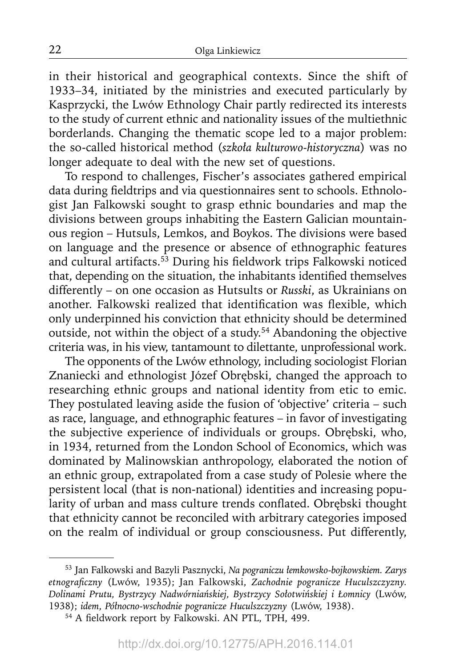in their historical and geographical contexts. Since the shift of 1933–34, initiated by the ministries and executed particularly by Kasprzycki, the Lwów Ethnology Chair partly redirected its interests to the study of current ethnic and nationality issues of the multiethnic borderlands. Changing the thematic scope led to a major problem: the so-called historical method (*szkoła kulturowo-historyczna*) was no longer adequate to deal with the new set of questions.

To respond to challenges, Fischer's associates gathered empirical data during fieldtrips and via questionnaires sent to schools. Ethnologist Jan Falkowski sought to grasp ethnic boundaries and map the divisions between groups inhabiting the Eastern Galician mountainous region – Hutsuls, Lemkos, and Boykos. The divisions were based on language and the presence or absence of ethnographic features and cultural artifacts.<sup>53</sup> During his fieldwork trips Falkowski noticed that, depending on the situation, the inhabitants identified themselves differently – on one occasion as Hutsults or *Russki*, as Ukrainians on another. Falkowski realized that identification was flexible, which only underpinned his conviction that ethnicity should be determined outside, not within the object of a study.<sup>54</sup> Abandoning the objective criteria was, in his view, tantamount to dilettante, unprofessional work.

The opponents of the Lwów ethnology, including sociologist Florian Znaniecki and ethnologist Józef Obrębski, changed the approach to researching ethnic groups and national identity from etic to emic. They postulated leaving aside the fusion of 'objective' criteria – such as race, language, and ethnographic features – in favor of investigating the subjective experience of individuals or groups. Obrębski, who, in 1934, returned from the London School of Economics, which was dominated by Malinowskian anthropology, elaborated the notion of an ethnic group, extrapolated from a case study of Polesie where the persistent local (that is non-national) identities and increasing popularity of urban and mass culture trends conflated. Obrębski thought that ethnicity cannot be reconciled with arbitrary categories imposed on the realm of individual or group consciousness. Put differently,

<sup>53</sup> Jan Falkowski and Bazyli Pasznycki, *Na pograniczu łemkowsko-bojkowskiem. Zarys etnografi czny* (Lwów, 1935); Jan Falkowski, *Zachodnie pogranicze Huculszczyzny. Dolinami Prutu, Bystrzycy Nadwórniańskiej, Bystrzycy Sołotwińskiej i Łomnicy* (Lwów, 1938); *idem*, *Północno-wschodnie pogranicze Huculszczyzny* (Lwów, 1938).

<sup>&</sup>lt;sup>54</sup> A fieldwork report by Falkowski. AN PTL, TPH, 499.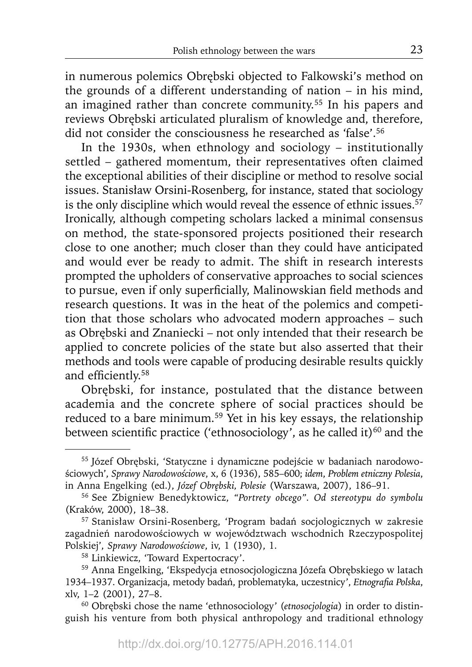in numerous polemics Obrębski objected to Falkowski's method on the grounds of a different understanding of nation – in his mind, an imagined rather than concrete community.<sup>55</sup> In his papers and reviews Obrębski articulated pluralism of knowledge and, therefore, did not consider the consciousness he researched as 'false'.<sup>56</sup>

In the 1930s, when ethnology and sociology – institutionally settled – gathered momentum, their representatives often claimed the exceptional abilities of their discipline or method to resolve social issues. Stanisław Orsini-Rosenberg, for instance, stated that sociology is the only discipline which would reveal the essence of ethnic issues.<sup>57</sup> Ironically, although competing scholars lacked a minimal consensus on method, the state-sponsored projects positioned their research close to one another; much closer than they could have anticipated and would ever be ready to admit. The shift in research interests prompted the upholders of conservative approaches to social sciences to pursue, even if only superficially, Malinowskian field methods and research questions. It was in the heat of the polemics and competition that those scholars who advocated modern approaches – such as Obrębski and Znaniecki – not only intended that their research be applied to concrete policies of the state but also asserted that their methods and tools were capable of producing desirable results quickly and efficiently.<sup>58</sup>

Obrębski, for instance, postulated that the distance between academia and the concrete sphere of social practices should be reduced to a bare minimum.<sup>59</sup> Yet in his key essays, the relationship between scientific practice ('ethnosociology', as he called it) $60$  and the

<sup>55</sup> Józef Obrębski, 'Statyczne i dynamiczne podejście w badaniach narodowościowych', *Sprawy Narodowościowe*, x, 6 (1936), 585–600; *idem*, *Problem etniczny Polesia*, in Anna Engelking (ed.), *Józef Obrębski, Polesie* (Warszawa, 2007), 186–91. 56 See Zbigniew Benedyktowicz, *"Portrety obcego". Od stereotypu do symbolu*

<sup>(</sup>Kraków, 2000), 18–38.

<sup>57</sup> Stanisław Orsini-Rosenberg, 'Program badań socjologicznych w zakresie zagadnień narodowościowych w województwach wschodnich Rzeczypospolitej Polskiej', *Sprawy Narodowościowe*, iv, 1 (1930), 1.

<sup>58</sup> Linkiewicz, 'Toward Expertocracy'.

<sup>59</sup> Anna Engelking, 'Ekspedycja etnosocjologiczna Józefa Obrębskiego w latach 1934–1937. Organizacja, metody badań, problematyka, uczestnicy<sup>,</sup> Etnografia Polska, xlv, 1–2 (2001), 27–8.

<sup>60</sup> Obrębski chose the name 'ethnosociology' (*etnosocjologia*) in order to distinguish his venture from both physical anthropology and traditional ethnology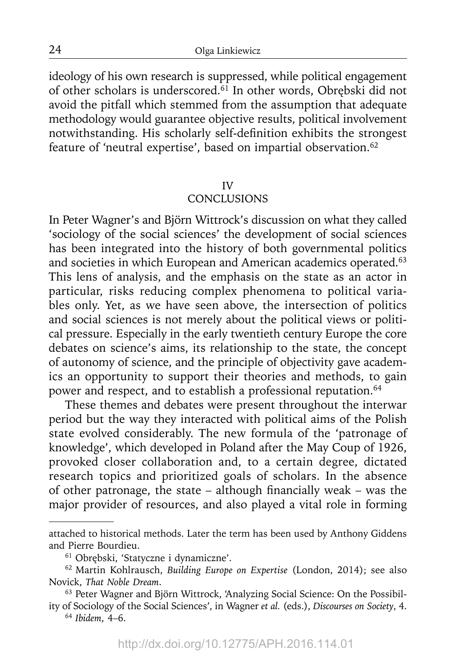ideology of his own research is suppressed, while political engagement of other scholars is underscored.61 In other words, Obrębski did not avoid the pitfall which stemmed from the assumption that adequate methodology would guarantee objective results, political involvement notwithstanding. His scholarly self-definition exhibits the strongest feature of 'neutral expertise', based on impartial observation.<sup>62</sup>

#### IV

### **CONCLUSIONS**

In Peter Wagner's and Björn Wittrock's discussion on what they called 'sociology of the social sciences' the development of social sciences has been integrated into the history of both governmental politics and societies in which European and American academics operated.<sup>63</sup> This lens of analysis, and the emphasis on the state as an actor in particular, risks reducing complex phenomena to political variables only. Yet, as we have seen above, the intersection of politics and social sciences is not merely about the political views or political pressure. Especially in the early twentieth century Europe the core debates on science's aims, its relationship to the state, the concept of autonomy of science, and the principle of objectivity gave academics an opportunity to support their theories and methods, to gain power and respect, and to establish a professional reputation.<sup>64</sup>

These themes and debates were present throughout the interwar period but the way they interacted with political aims of the Polish state evolved considerably. The new formula of the 'patronage of knowledge', which developed in Poland after the May Coup of 1926, provoked closer collaboration and, to a certain degree, dictated research topics and prioritized goals of scholars. In the absence of other patronage, the state – although financially weak – was the major provider of resources, and also played a vital role in forming

<sup>64</sup>*Ibidem*, 4–6.

attached to historical methods. Later the term has been used by Anthony Giddens and Pierre Bourdieu. 61 Obrębski, 'Statyczne i dynamiczne'.

<sup>62</sup> Martin Kohlrausch, *Building Europe on Expertise* (London, 2014); see also Novick, *That Noble Dream*.

<sup>63</sup> Peter Wagner and Björn Wittrock, 'Analyzing Social Science: On the Possibility of Sociology of the Social Sciences', in Wagner *et al.* (eds.), *Discourses on Society*, 4.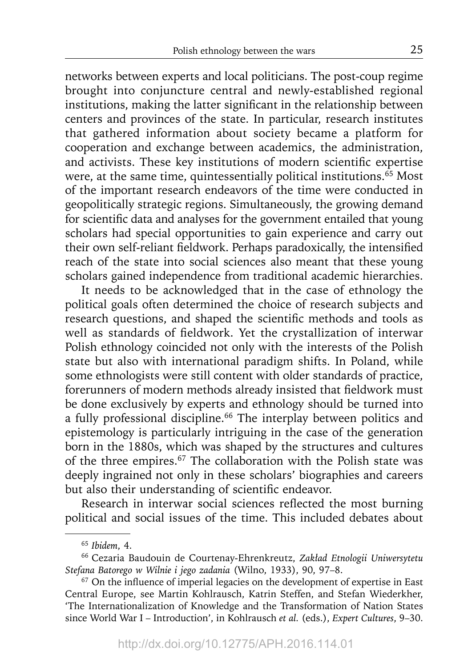networks between experts and local politicians. The post-coup regime brought into conjuncture central and newly-established regional institutions, making the latter significant in the relationship between centers and provinces of the state. In particular, research institutes that gathered information about society became a platform for cooperation and exchange between academics, the administration, and activists. These key institutions of modern scientific expertise were, at the same time, quintessentially political institutions.<sup>65</sup> Most of the important research endeavors of the time were conducted in geopolitically strategic regions. Simultaneously, the growing demand for scientific data and analyses for the government entailed that young scholars had special opportunities to gain experience and carry out their own self-reliant fieldwork. Perhaps paradoxically, the intensified reach of the state into social sciences also meant that these young scholars gained independence from traditional academic hierarchies.

It needs to be acknowledged that in the case of ethnology the political goals often determined the choice of research subjects and research questions, and shaped the scientific methods and tools as well as standards of fieldwork. Yet the crystallization of interwar Polish ethnology coincided not only with the interests of the Polish state but also with international paradigm shifts. In Poland, while some ethnologists were still content with older standards of practice, forerunners of modern methods already insisted that fieldwork must be done exclusively by experts and ethnology should be turned into a fully professional discipline.<sup>66</sup> The interplay between politics and epistemology is particularly intriguing in the case of the generation born in the 1880s, which was shaped by the structures and cultures of the three empires.<sup>67</sup> The collaboration with the Polish state was deeply ingrained not only in these scholars' biographies and careers but also their understanding of scientific endeavor.

Research in interwar social sciences reflected the most burning political and social issues of the time. This included debates about

<sup>65</sup>*Ibidem*, 4.

<sup>66</sup> Cezaria Baudouin de Courtenay-Ehrenkreutz, *Zakład Etnologii Uniwersytetu Stefana Batorego w Wilnie i jego zadania* (Wilno, 1933), 90, 97–8.

 $67$  On the influence of imperial legacies on the development of expertise in East Central Europe, see Martin Kohlrausch, Katrin Steffen, and Stefan Wiederkher, 'The Internationalization of Knowledge and the Transformation of Nation States since World War I – Introduction', in Kohlrausch *et al.* (eds.), *Expert Cultures*, 9–30.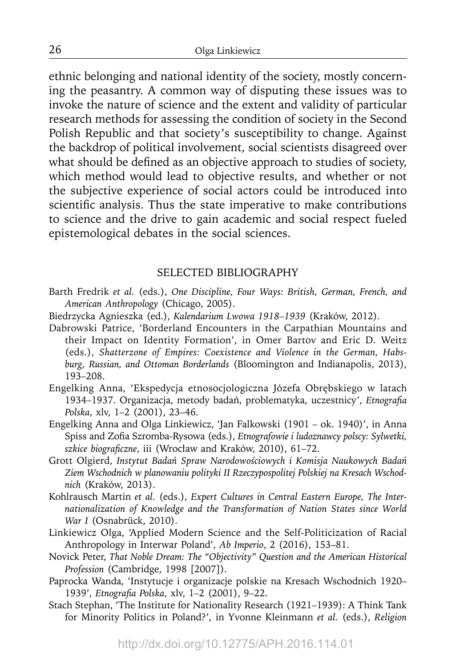ethnic belonging and national identity of the society, mostly concerning the peasantry. A common way of disputing these issues was to invoke the nature of science and the extent and validity of particular research methods for assessing the condition of society in the Second Polish Republic and that society's susceptibility to change. Against the backdrop of political involvement, social scientists disagreed over what should be defined as an objective approach to studies of society, which method would lead to objective results, and whether or not the subjective experience of social actors could be introduced into scientific analysis. Thus the state imperative to make contributions to science and the drive to gain academic and social respect fueled epistemological debates in the social sciences.

## SELECTED BIBLIOGRAPHY

- Barth Fredrik *et al.* (eds.), *One Discipline, Four Ways: British, German, French, and American Anthropology* (Chicago, 2005).
- Biedrzycka Agnieszka (ed.), *Kalendarium Lwowa 1918–1939* (Kraków, 2012).
- Dabrowski Patrice, 'Borderland Encounters in the Carpathian Mountains and their Impact on Identity Formation', in Omer Bartov and Eric D. Weitz (eds.), *Shatterzone of Empires: Coexistence and Violence in the German, Habsburg, Russian, and Ottoman Borderlands* (Bloomington and Indianapolis, 2013), 193–208.
- Engelking Anna, 'Ekspedycja etnosocjologiczna Józefa Obrębskiego w latach 1934–1937. Organizacja, metody badań, problematyka, uczestnicy', *Etnografia Polska*, xlv, 1–2 (2001), 23–46.
- Engelking Anna and Olga Linkiewicz, 'Jan Falkowski (1901 ok. 1940)', in Anna Spiss and Zofia Szromba-Rysowa (eds.), *Etnografowie i ludoznawcy polscy: Sylwetki*, szkice biograficzne, iii (Wrocław and Kraków, 2010), 61-72.
- Grott Olgierd, *Instytut Badań Spraw Narodowościowych i Komisja Naukowych Badań Ziem Wschodnich w planowaniu polityki II Rzeczypospolitej Polskiej na Kresach Wschodnich* (Kraków, 2013).
- Kohlrausch Martin *et al.* (eds.), *Expert Cultures in Central Eastern Europe, The Internationalization of Knowledge and the Transformation of Nation States since World War I* (Osnabrück, 2010).
- Linkiewicz Olga, 'Applied Modern Science and the Self-Politicization of Racial Anthropology in Interwar Poland', *Ab Imperio*, 2 (2016), 153–81.
- Novick Peter, *That Noble Dream: The "Objectivity" Question and the American Historical Profession* (Cambridge, 1998 [2007]).
- Paprocka Wanda, 'Instytucje i organizacje polskie na Kresach Wschodnich 1920– 1939', *Etnografia Polska*, xlv, 1-2 (2001), 9-22.
- Stach Stephan, 'The Institute for Nationality Research (1921–1939): A Think Tank for Minority Politics in Poland?', in Yvonne Kleinmann *et al.* (eds.), *Religion*